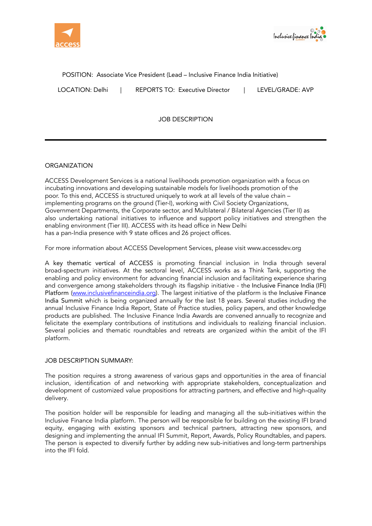



POSITION: Associate Vice President (Lead – Inclusive Finance India Initiative)

LOCATION: Delhi | REPORTS TO: Executive Director | LEVEL/GRADE: AVP

JOB DESCRIPTION

# **ORGANIZATION**

ACCESS Development Services is a national livelihoods promotion organization with a focus on incubating innovations and developing sustainable models for livelihoods promotion of the poor. To this end, ACCESS is structured uniquely to work at all levels of the value chain – implementing programs on the ground (Tier-I), working with Civil Society Organizations, Government Departments, the Corporate sector, and Multilateral / Bilateral Agencies (Tier II) as also undertaking national initiatives to influence and support policy initiatives and strengthen the enabling environment (Tier III). ACCESS with its head office in New Delhi has a pan-India presence with 9 state offices and 26 project offices.

For more information about ACCESS Development Services, please visit [www.accessdev.org](http://www.accessdev.org)

A key thematic vertical of ACCESS is promoting financial inclusion in India through several broad-spectrum initiatives. At the sectoral level, ACCESS works as a Think Tank, supporting the enabling and policy environment for advancing financial inclusion and facilitating experience sharing and convergence among stakeholders through its flagship initiative - the Inclusive Finance India (IFI) Platform [\(www.inclusivefinanceindia.org\)](http://www.inclusivefinanceindia.org). The largest initiative of the platform is the Inclusive Finance India Summit which is being organized annually for the last 18 years. Several studies including the annual Inclusive Finance India Report, State of Practice studies, policy papers, and other knowledge products are published. The Inclusive Finance India Awards are convened annually to recognize and felicitate the exemplary contributions of institutions and individuals to realizing financial inclusion. Several policies and thematic roundtables and retreats are organized within the ambit of the IFI platform.

## JOB DESCRIPTION SUMMARY:

The position requires a strong awareness of various gaps and opportunities in the area of financial inclusion, identification of and networking with appropriate stakeholders, conceptualization and development of customized value propositions for attracting partners, and effective and high-quality delivery.

The position holder will be responsible for leading and managing all the sub-initiatives within the Inclusive Finance India platform. The person will be responsible for building on the existing IFI brand equity, engaging with existing sponsors and technical partners, attracting new sponsors, and designing and implementing the annual IFI Summit, Report, Awards, Policy Roundtables, and papers. The person is expected to diversify further by adding new sub-initiatives and long-term partnerships into the IFI fold.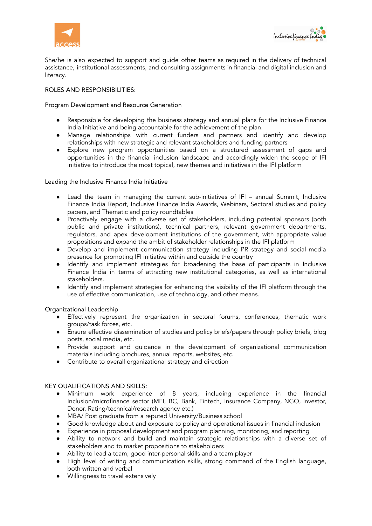



She/he is also expected to support and guide other teams as required in the delivery of technical assistance, institutional assessments, and consulting assignments in financial and digital inclusion and literacy.

#### ROLES AND RESPONSIBILITIES:

#### Program Development and Resource Generation

- Responsible for developing the business strategy and annual plans for the Inclusive Finance India Initiative and being accountable for the achievement of the plan.
- Manage relationships with current funders and partners and identify and develop relationships with new strategic and relevant stakeholders and funding partners
- Explore new program opportunities based on a structured assessment of gaps and opportunities in the financial inclusion landscape and accordingly widen the scope of IFI initiative to introduce the most topical, new themes and initiatives in the IFI platform

#### Leading the Inclusive Finance India Initiative

- Lead the team in managing the current sub-initiatives of IFI annual Summit, Inclusive Finance India Report, Inclusive Finance India Awards, Webinars, Sectoral studies and policy papers, and Thematic and policy roundtables
- Proactively engage with a diverse set of stakeholders, including potential sponsors (both public and private institutions), technical partners, relevant government departments, regulators, and apex development institutions of the government, with appropriate value propositions and expand the ambit of stakeholder relationships in the IFI platform
- Develop and implement communication strategy including PR strategy and social media presence for promoting IFI initiative within and outside the country
- Identify and implement strategies for broadening the base of participants in Inclusive Finance India in terms of attracting new institutional categories, as well as international stakeholders.
- Identify and implement strategies for enhancing the visibility of the IFI platform through the use of effective communication, use of technology, and other means.

#### Organizational Leadership

- Effectively represent the organization in sectoral forums, conferences, thematic work groups/task forces, etc.
- Ensure effective dissemination of studies and policy briefs/papers through policy briefs, blog posts, social media, etc.
- Provide support and guidance in the development of organizational communication materials including brochures, annual reports, websites, etc.
- Contribute to overall organizational strategy and direction

#### KEY QUALIFICATIONS AND SKILLS:

- Minimum work experience of 8 years, including experience in the financial Inclusion/microfinance sector (MFI, BC, Bank, Fintech, Insurance Company, NGO, Investor, Donor, Rating/technical/research agency etc.)
- MBA/ Post graduate from a reputed University/Business school
- Good knowledge about and exposure to policy and operational issues in financial inclusion
- Experience in proposal development and program planning, monitoring, and reporting
- Ability to network and build and maintain strategic relationships with a diverse set of stakeholders and to market propositions to stakeholders
- Ability to lead a team; good inter-personal skills and a team player
- High level of writing and communication skills, strong command of the English language, both written and verbal
- Willingness to travel extensively